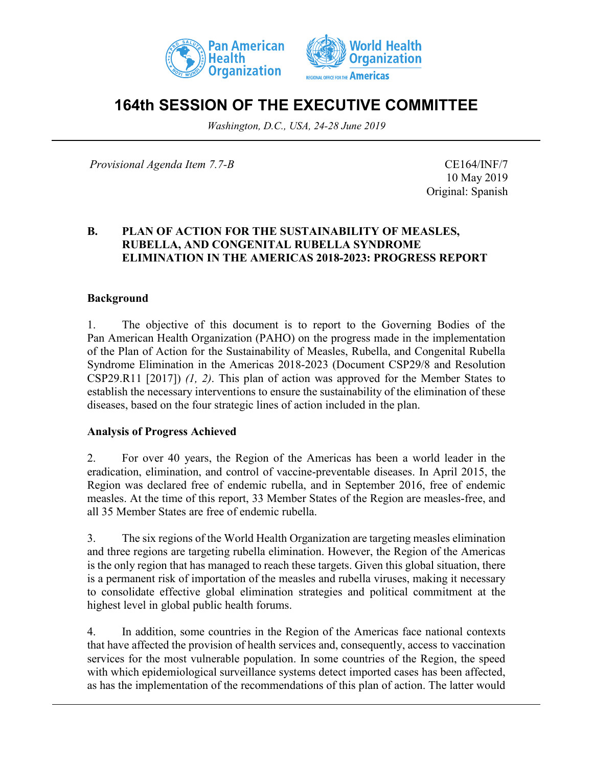



# **164th SESSION OF THE EXECUTIVE COMMITTEE**

*Washington, D.C., USA, 24-28 June 2019*

*Provisional Agenda Item 7.7-B* CE164/INF/7

10 May 2019 Original: Spanish

#### **B. PLAN OF ACTION FOR THE SUSTAINABILITY OF MEASLES, RUBELLA, AND CONGENITAL RUBELLA SYNDROME ELIMINATION IN THE AMERICAS 2018-2023: PROGRESS REPORT**

#### **Background**

1. The objective of this document is to report to the Governing Bodies of the Pan American Health Organization (PAHO) on the progress made in the implementation of the Plan of Action for the Sustainability of Measles, Rubella, and Congenital Rubella Syndrome Elimination in the Americas 2018-2023 (Document CSP29/8 and Resolution CSP29.R11 [2017]) *(1, 2)*. This plan of action was approved for the Member States to establish the necessary interventions to ensure the sustainability of the elimination of these diseases, based on the four strategic lines of action included in the plan.

#### **Analysis of Progress Achieved**

2. For over 40 years, the Region of the Americas has been a world leader in the eradication, elimination, and control of vaccine-preventable diseases. In April 2015, the Region was declared free of endemic rubella, and in September 2016, free of endemic measles. At the time of this report, 33 Member States of the Region are measles-free, and all 35 Member States are free of endemic rubella.

3. The six regions of the World Health Organization are targeting measles elimination and three regions are targeting rubella elimination. However, the Region of the Americas is the only region that has managed to reach these targets. Given this global situation, there is a permanent risk of importation of the measles and rubella viruses, making it necessary to consolidate effective global elimination strategies and political commitment at the highest level in global public health forums.

4. In addition, some countries in the Region of the Americas face national contexts that have affected the provision of health services and, consequently, access to vaccination services for the most vulnerable population. In some countries of the Region, the speed with which epidemiological surveillance systems detect imported cases has been affected, as has the implementation of the recommendations of this plan of action. The latter would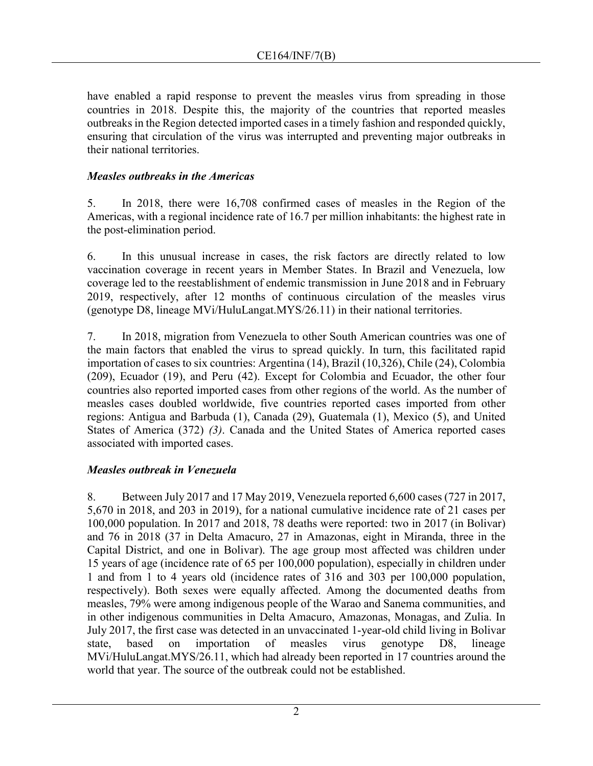have enabled a rapid response to prevent the measles virus from spreading in those countries in 2018. Despite this, the majority of the countries that reported measles outbreaks in the Region detected imported cases in a timely fashion and responded quickly, ensuring that circulation of the virus was interrupted and preventing major outbreaks in their national territories.

#### *Measles outbreaks in the Americas*

5. In 2018, there were 16,708 confirmed cases of measles in the Region of the Americas, with a regional incidence rate of 16.7 per million inhabitants: the highest rate in the post-elimination period.

6. In this unusual increase in cases, the risk factors are directly related to low vaccination coverage in recent years in Member States. In Brazil and Venezuela, low coverage led to the reestablishment of endemic transmission in June 2018 and in February 2019, respectively, after 12 months of continuous circulation of the measles virus (genotype D8, lineage MVi/HuluLangat.MYS/26.11) in their national territories.

7. In 2018, migration from Venezuela to other South American countries was one of the main factors that enabled the virus to spread quickly. In turn, this facilitated rapid importation of cases to six countries: Argentina (14), Brazil (10,326), Chile (24), Colombia (209), Ecuador (19), and Peru (42). Except for Colombia and Ecuador, the other four countries also reported imported cases from other regions of the world. As the number of measles cases doubled worldwide, five countries reported cases imported from other regions: Antigua and Barbuda (1), Canada (29), Guatemala (1), Mexico (5), and United States of America (372) *(3)*. Canada and the United States of America reported cases associated with imported cases.

#### *Measles outbreak in Venezuela*

8. Between July 2017 and 17 May 2019, Venezuela reported 6,600 cases (727 in 2017, 5,670 in 2018, and 203 in 2019), for a national cumulative incidence rate of 21 cases per 100,000 population. In 2017 and 2018, 78 deaths were reported: two in 2017 (in Bolivar) and 76 in 2018 (37 in Delta Amacuro, 27 in Amazonas, eight in Miranda, three in the Capital District, and one in Bolivar). The age group most affected was children under 15 years of age (incidence rate of 65 per 100,000 population), especially in children under 1 and from 1 to 4 years old (incidence rates of 316 and 303 per 100,000 population, respectively). Both sexes were equally affected. Among the documented deaths from measles, 79% were among indigenous people of the Warao and Sanema communities, and in other indigenous communities in Delta Amacuro, Amazonas, Monagas, and Zulia. In July 2017, the first case was detected in an unvaccinated 1-year-old child living in Bolivar state, based on importation of measles virus genotype D8, lineage MVi/HuluLangat.MYS/26.11, which had already been reported in 17 countries around the world that year. The source of the outbreak could not be established.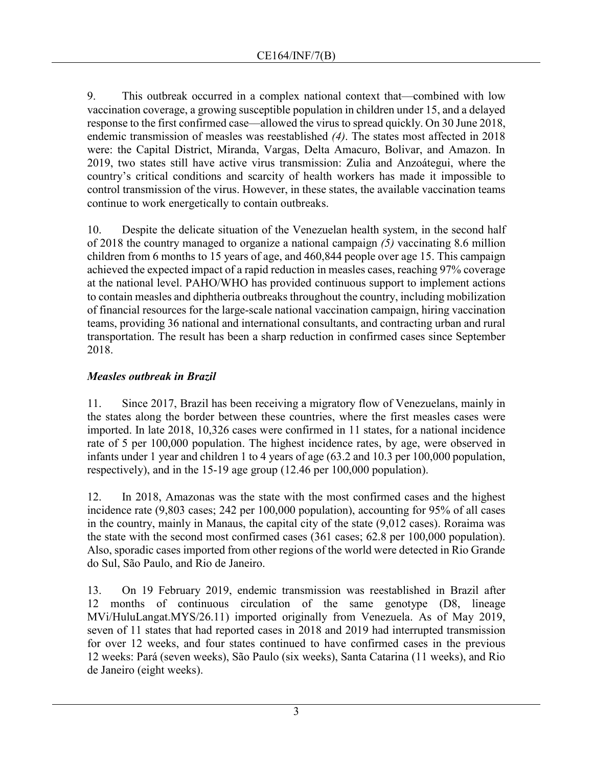9. This outbreak occurred in a complex national context that––combined with low vaccination coverage, a growing susceptible population in children under 15, and a delayed response to the first confirmed case––allowed the virus to spread quickly. On 30 June 2018, endemic transmission of measles was reestablished *(4)*. The states most affected in 2018 were: the Capital District, Miranda, Vargas, Delta Amacuro, Bolivar, and Amazon. In 2019, two states still have active virus transmission: Zulia and Anzoátegui, where the country's critical conditions and scarcity of health workers has made it impossible to control transmission of the virus. However, in these states, the available vaccination teams continue to work energetically to contain outbreaks.

10. Despite the delicate situation of the Venezuelan health system, in the second half of 2018 the country managed to organize a national campaign *(5)* vaccinating 8.6 million children from 6 months to 15 years of age, and 460,844 people over age 15. This campaign achieved the expected impact of a rapid reduction in measles cases, reaching 97% coverage at the national level. PAHO/WHO has provided continuous support to implement actions to contain measles and diphtheria outbreaks throughout the country, including mobilization of financial resources for the large-scale national vaccination campaign, hiring vaccination teams, providing 36 national and international consultants, and contracting urban and rural transportation. The result has been a sharp reduction in confirmed cases since September 2018.

# *Measles outbreak in Brazil*

11. Since 2017, Brazil has been receiving a migratory flow of Venezuelans, mainly in the states along the border between these countries, where the first measles cases were imported. In late 2018, 10,326 cases were confirmed in 11 states, for a national incidence rate of 5 per 100,000 population. The highest incidence rates, by age, were observed in infants under 1 year and children 1 to 4 years of age (63.2 and 10.3 per 100,000 population, respectively), and in the 15-19 age group (12.46 per 100,000 population).

12. In 2018, Amazonas was the state with the most confirmed cases and the highest incidence rate (9,803 cases; 242 per 100,000 population), accounting for 95% of all cases in the country, mainly in Manaus, the capital city of the state (9,012 cases). Roraima was the state with the second most confirmed cases (361 cases; 62.8 per 100,000 population). Also, sporadic cases imported from other regions of the world were detected in Rio Grande do Sul, São Paulo, and Rio de Janeiro.

13. On 19 February 2019, endemic transmission was reestablished in Brazil after 12 months of continuous circulation of the same genotype (D8, lineage MVi/HuluLangat.MYS/26.11) imported originally from Venezuela. As of May 2019, seven of 11 states that had reported cases in 2018 and 2019 had interrupted transmission for over 12 weeks, and four states continued to have confirmed cases in the previous 12 weeks: Pará (seven weeks), São Paulo (six weeks), Santa Catarina (11 weeks), and Rio de Janeiro (eight weeks).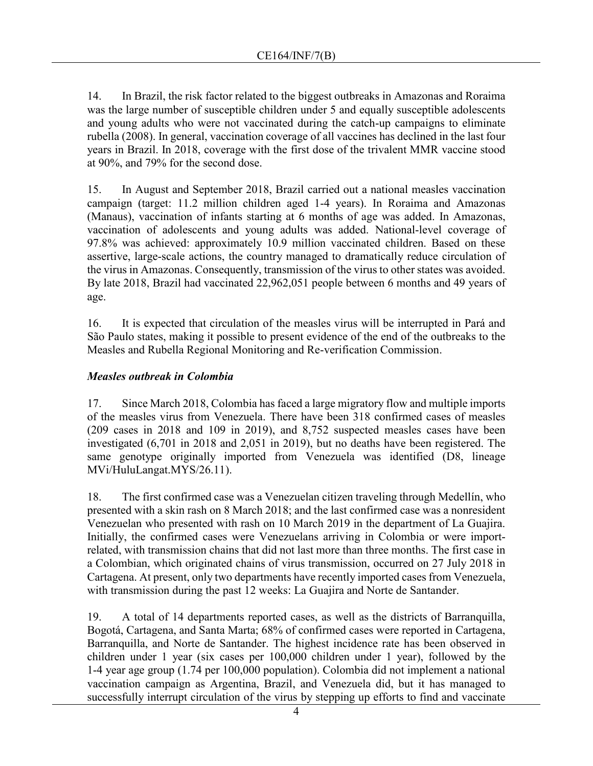14. In Brazil, the risk factor related to the biggest outbreaks in Amazonas and Roraima was the large number of susceptible children under 5 and equally susceptible adolescents and young adults who were not vaccinated during the catch-up campaigns to eliminate rubella (2008). In general, vaccination coverage of all vaccines has declined in the last four years in Brazil. In 2018, coverage with the first dose of the trivalent MMR vaccine stood at 90%, and 79% for the second dose.

15. In August and September 2018, Brazil carried out a national measles vaccination campaign (target: 11.2 million children aged 1-4 years). In Roraima and Amazonas (Manaus), vaccination of infants starting at 6 months of age was added. In Amazonas, vaccination of adolescents and young adults was added. National-level coverage of 97.8% was achieved: approximately 10.9 million vaccinated children. Based on these assertive, large-scale actions, the country managed to dramatically reduce circulation of the virus in Amazonas. Consequently, transmission of the virus to other states was avoided. By late 2018, Brazil had vaccinated 22,962,051 people between 6 months and 49 years of age.

16. It is expected that circulation of the measles virus will be interrupted in Pará and São Paulo states, making it possible to present evidence of the end of the outbreaks to the Measles and Rubella Regional Monitoring and Re-verification Commission.

#### *Measles outbreak in Colombia*

17. Since March 2018, Colombia has faced a large migratory flow and multiple imports of the measles virus from Venezuela. There have been 318 confirmed cases of measles (209 cases in 2018 and 109 in 2019), and 8,752 suspected measles cases have been investigated (6,701 in 2018 and 2,051 in 2019), but no deaths have been registered. The same genotype originally imported from Venezuela was identified (D8, lineage MVi/HuluLangat.MYS/26.11).

18. The first confirmed case was a Venezuelan citizen traveling through Medellín, who presented with a skin rash on 8 March 2018; and the last confirmed case was a nonresident Venezuelan who presented with rash on 10 March 2019 in the department of La Guajira. Initially, the confirmed cases were Venezuelans arriving in Colombia or were importrelated, with transmission chains that did not last more than three months. The first case in a Colombian, which originated chains of virus transmission, occurred on 27 July 2018 in Cartagena. At present, only two departments have recently imported cases from Venezuela, with transmission during the past 12 weeks: La Guajira and Norte de Santander.

19. A total of 14 departments reported cases, as well as the districts of Barranquilla, Bogotá, Cartagena, and Santa Marta; 68% of confirmed cases were reported in Cartagena, Barranquilla, and Norte de Santander. The highest incidence rate has been observed in children under 1 year (six cases per 100,000 children under 1 year), followed by the 1-4 year age group (1.74 per 100,000 population). Colombia did not implement a national vaccination campaign as Argentina, Brazil, and Venezuela did, but it has managed to successfully interrupt circulation of the virus by stepping up efforts to find and vaccinate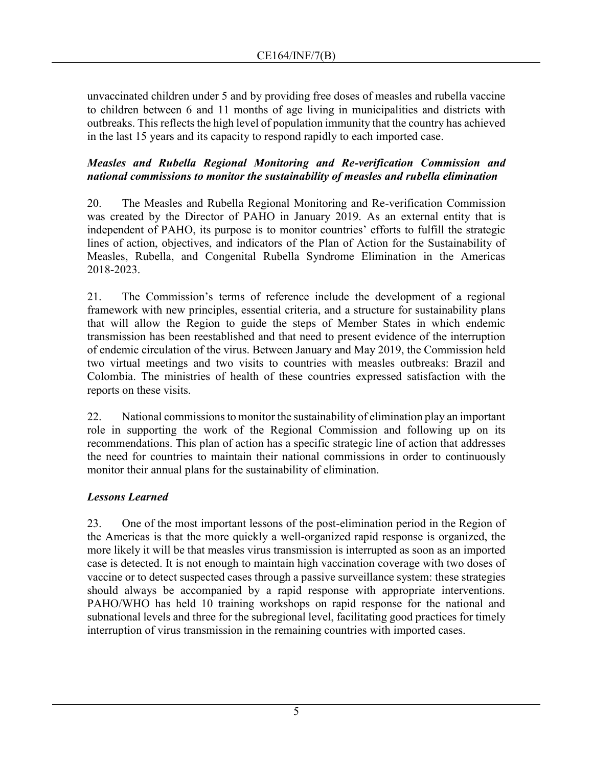unvaccinated children under 5 and by providing free doses of measles and rubella vaccine to children between 6 and 11 months of age living in municipalities and districts with outbreaks. This reflects the high level of population immunity that the country has achieved in the last 15 years and its capacity to respond rapidly to each imported case.

### *Measles and Rubella Regional Monitoring and Re-verification Commission and national commissions to monitor the sustainability of measles and rubella elimination*

20. The Measles and Rubella Regional Monitoring and Re-verification Commission was created by the Director of PAHO in January 2019. As an external entity that is independent of PAHO, its purpose is to monitor countries' efforts to fulfill the strategic lines of action, objectives, and indicators of the Plan of Action for the Sustainability of Measles, Rubella, and Congenital Rubella Syndrome Elimination in the Americas 2018-2023.

21. The Commission's terms of reference include the development of a regional framework with new principles, essential criteria, and a structure for sustainability plans that will allow the Region to guide the steps of Member States in which endemic transmission has been reestablished and that need to present evidence of the interruption of endemic circulation of the virus. Between January and May 2019, the Commission held two virtual meetings and two visits to countries with measles outbreaks: Brazil and Colombia. The ministries of health of these countries expressed satisfaction with the reports on these visits.

22. National commissions to monitor the sustainability of elimination play an important role in supporting the work of the Regional Commission and following up on its recommendations. This plan of action has a specific strategic line of action that addresses the need for countries to maintain their national commissions in order to continuously monitor their annual plans for the sustainability of elimination.

# *Lessons Learned*

23. One of the most important lessons of the post-elimination period in the Region of the Americas is that the more quickly a well-organized rapid response is organized, the more likely it will be that measles virus transmission is interrupted as soon as an imported case is detected. It is not enough to maintain high vaccination coverage with two doses of vaccine or to detect suspected cases through a passive surveillance system: these strategies should always be accompanied by a rapid response with appropriate interventions. PAHO/WHO has held 10 training workshops on rapid response for the national and subnational levels and three for the subregional level, facilitating good practices for timely interruption of virus transmission in the remaining countries with imported cases.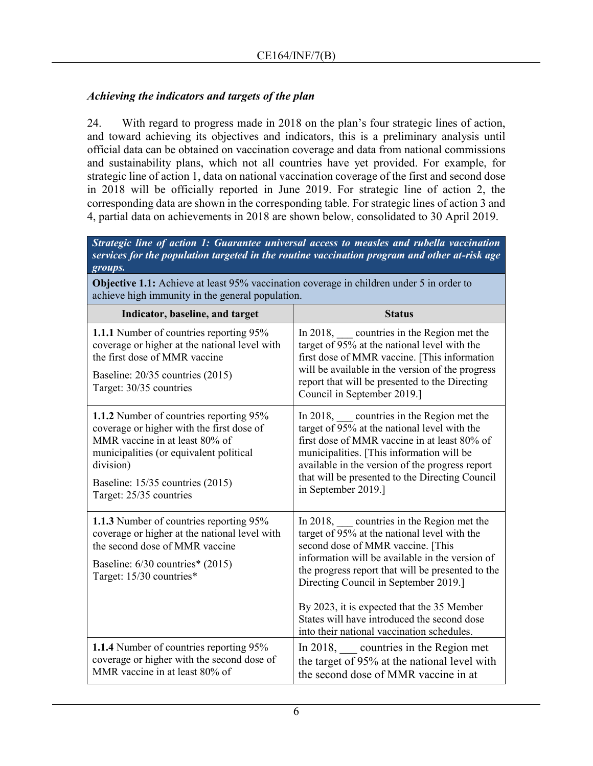## *Achieving the indicators and targets of the plan*

24. With regard to progress made in 2018 on the plan's four strategic lines of action, and toward achieving its objectives and indicators, this is a preliminary analysis until official data can be obtained on vaccination coverage and data from national commissions and sustainability plans, which not all countries have yet provided. For example, for strategic line of action 1, data on national vaccination coverage of the first and second dose in 2018 will be officially reported in June 2019. For strategic line of action 2, the corresponding data are shown in the corresponding table. For strategic lines of action 3 and 4, partial data on achievements in 2018 are shown below, consolidated to 30 April 2019.

*Strategic line of action 1: Guarantee universal access to measles and rubella vaccination services for the population targeted in the routine vaccination program and other at-risk age groups.*

**Objective 1.1:** Achieve at least 95% vaccination coverage in children under 5 in order to achieve high immunity in the general population.

| Indicator, baseline, and target                                                                                                                                                                                                               | <b>Status</b>                                                                                                                                                                                                                                                                                                                                                                                                             |
|-----------------------------------------------------------------------------------------------------------------------------------------------------------------------------------------------------------------------------------------------|---------------------------------------------------------------------------------------------------------------------------------------------------------------------------------------------------------------------------------------------------------------------------------------------------------------------------------------------------------------------------------------------------------------------------|
| 1.1.1 Number of countries reporting 95%<br>coverage or higher at the national level with<br>the first dose of MMR vaccine<br>Baseline: 20/35 countries (2015)<br>Target: 30/35 countries                                                      | In 2018, countries in the Region met the<br>target of 95% at the national level with the<br>first dose of MMR vaccine. [This information<br>will be available in the version of the progress<br>report that will be presented to the Directing<br>Council in September 2019.]                                                                                                                                             |
| 1.1.2 Number of countries reporting 95%<br>coverage or higher with the first dose of<br>MMR vaccine in at least 80% of<br>municipalities (or equivalent political<br>division)<br>Baseline: 15/35 countries (2015)<br>Target: 25/35 countries | In 2018, countries in the Region met the<br>target of 95% at the national level with the<br>first dose of MMR vaccine in at least 80% of<br>municipalities. [This information will be<br>available in the version of the progress report<br>that will be presented to the Directing Council<br>in September 2019.]                                                                                                        |
| 1.1.3 Number of countries reporting 95%<br>coverage or higher at the national level with<br>the second dose of MMR vaccine<br>Baseline: 6/30 countries* (2015)<br>Target: 15/30 countries*                                                    | In 2018, countries in the Region met the<br>target of 95% at the national level with the<br>second dose of MMR vaccine. [This<br>information will be available in the version of<br>the progress report that will be presented to the<br>Directing Council in September 2019.]<br>By 2023, it is expected that the 35 Member<br>States will have introduced the second dose<br>into their national vaccination schedules. |
| 1.1.4 Number of countries reporting 95%<br>coverage or higher with the second dose of<br>MMR vaccine in at least 80% of                                                                                                                       | In 2018, $\qquad$ countries in the Region met<br>the target of 95% at the national level with<br>the second dose of MMR vaccine in at                                                                                                                                                                                                                                                                                     |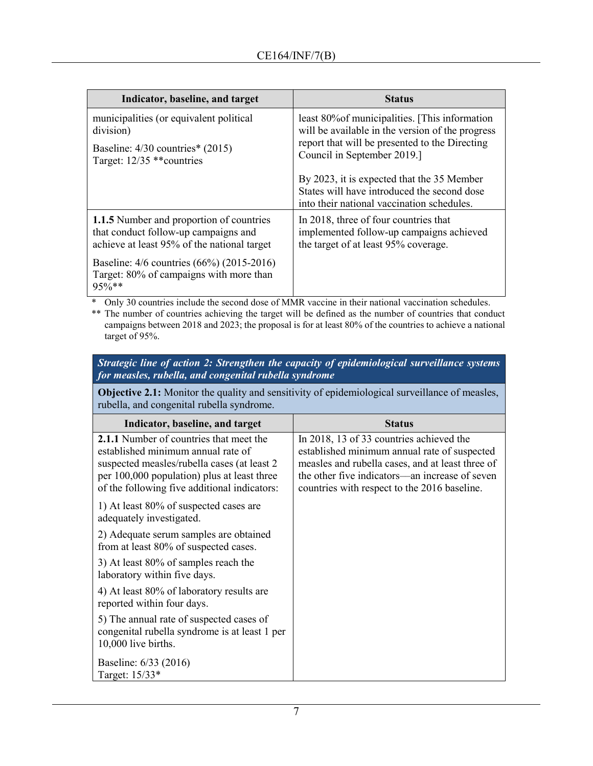| Indicator, baseline, and target                                                                 | <b>Status</b>                                                                                                                           |
|-------------------------------------------------------------------------------------------------|-----------------------------------------------------------------------------------------------------------------------------------------|
| municipalities (or equivalent political                                                         | least 80% of municipalities. [This information                                                                                          |
| division)                                                                                       | will be available in the version of the progress                                                                                        |
| Baseline: $4/30$ countries* $(2015)$                                                            | report that will be presented to the Directing                                                                                          |
| Target: 12/35 ** countries                                                                      | Council in September 2019.]                                                                                                             |
|                                                                                                 | By 2023, it is expected that the 35 Member<br>States will have introduced the second dose<br>into their national vaccination schedules. |
| 1.1.5 Number and proportion of countries                                                        | In 2018, three of four countries that                                                                                                   |
| that conduct follow-up campaigns and                                                            | implemented follow-up campaigns achieved                                                                                                |
| achieve at least 95% of the national target                                                     | the target of at least 95% coverage.                                                                                                    |
| Baseline: 4/6 countries (66%) (2015-2016)<br>Target: 80% of campaigns with more than<br>$95%**$ |                                                                                                                                         |

\* Only 30 countries include the second dose of MMR vaccine in their national vaccination schedules.

\*\* The number of countries achieving the target will be defined as the number of countries that conduct campaigns between 2018 and 2023; the proposal is for at least 80% of the countries to achieve a national target of 95%.

| Strategic line of action 2: Strengthen the capacity of epidemiological surveillance systems |
|---------------------------------------------------------------------------------------------|
| for measles, rubella, and congenital rubella syndrome                                       |

**Objective 2.1:** Monitor the quality and sensitivity of epidemiological surveillance of measles, rubella, and congenital rubella syndrome.

| Indicator, baseline, and target                                                                                                                                                                                             | <b>Status</b>                                                                                                                                                                                                                                  |
|-----------------------------------------------------------------------------------------------------------------------------------------------------------------------------------------------------------------------------|------------------------------------------------------------------------------------------------------------------------------------------------------------------------------------------------------------------------------------------------|
| 2.1.1 Number of countries that meet the<br>established minimum annual rate of<br>suspected measles/rubella cases (at least 2<br>per 100,000 population) plus at least three<br>of the following five additional indicators: | In 2018, 13 of 33 countries achieved the<br>established minimum annual rate of suspected<br>measles and rubella cases, and at least three of<br>the other five indicators—an increase of seven<br>countries with respect to the 2016 baseline. |
| 1) At least 80% of suspected cases are<br>adequately investigated.                                                                                                                                                          |                                                                                                                                                                                                                                                |
| 2) Adequate serum samples are obtained<br>from at least 80% of suspected cases.                                                                                                                                             |                                                                                                                                                                                                                                                |
| 3) At least 80% of samples reach the<br>laboratory within five days.                                                                                                                                                        |                                                                                                                                                                                                                                                |
| 4) At least 80% of laboratory results are<br>reported within four days.                                                                                                                                                     |                                                                                                                                                                                                                                                |
| 5) The annual rate of suspected cases of<br>congenital rubella syndrome is at least 1 per<br>10,000 live births.                                                                                                            |                                                                                                                                                                                                                                                |
| Baseline: 6/33 (2016)<br>Target: 15/33*                                                                                                                                                                                     |                                                                                                                                                                                                                                                |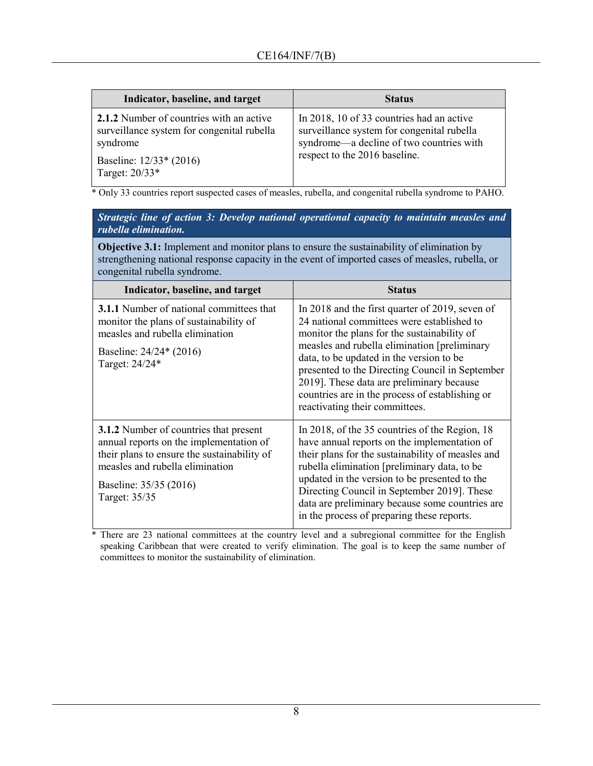| Indicator, baseline, and target                                                                                                                 | <b>Status</b>                                                                                                                                                        |
|-------------------------------------------------------------------------------------------------------------------------------------------------|----------------------------------------------------------------------------------------------------------------------------------------------------------------------|
| 2.1.2 Number of countries with an active<br>surveillance system for congenital rubella<br>syndrome<br>Baseline: 12/33* (2016)<br>Target: 20/33* | In 2018, 10 of 33 countries had an active<br>surveillance system for congenital rubella<br>syndrome-a decline of two countries with<br>respect to the 2016 baseline. |

\* Only 33 countries report suspected cases of measles, rubella, and congenital rubella syndrome to PAHO.

#### *Strategic line of action 3: Develop national operational capacity to maintain measles and rubella elimination.*

**Objective 3.1:** Implement and monitor plans to ensure the sustainability of elimination by strengthening national response capacity in the event of imported cases of measles, rubella, or congenital rubella syndrome.

| Indicator, baseline, and target                                                                                                                                                                                       | <b>Status</b>                                                                                                                                                                                                                                                                                                                                                                                                                 |
|-----------------------------------------------------------------------------------------------------------------------------------------------------------------------------------------------------------------------|-------------------------------------------------------------------------------------------------------------------------------------------------------------------------------------------------------------------------------------------------------------------------------------------------------------------------------------------------------------------------------------------------------------------------------|
| <b>3.1.1</b> Number of national committees that<br>monitor the plans of sustainability of<br>measles and rubella elimination<br>Baseline: 24/24* (2016)<br>Target: 24/24*                                             | In 2018 and the first quarter of 2019, seven of<br>24 national committees were established to<br>monitor the plans for the sustainability of<br>measles and rubella elimination [preliminary<br>data, to be updated in the version to be<br>presented to the Directing Council in September<br>2019]. These data are preliminary because<br>countries are in the process of establishing or<br>reactivating their committees. |
| <b>3.1.2</b> Number of countries that present<br>annual reports on the implementation of<br>their plans to ensure the sustainability of<br>measles and rubella elimination<br>Baseline: 35/35 (2016)<br>Target: 35/35 | In 2018, of the 35 countries of the Region, 18<br>have annual reports on the implementation of<br>their plans for the sustainability of measles and<br>rubella elimination [preliminary data, to be<br>updated in the version to be presented to the<br>Directing Council in September 2019]. These<br>data are preliminary because some countries are<br>in the process of preparing these reports.                          |

\* There are 23 national committees at the country level and a subregional committee for the English speaking Caribbean that were created to verify elimination. The goal is to keep the same number of committees to monitor the sustainability of elimination.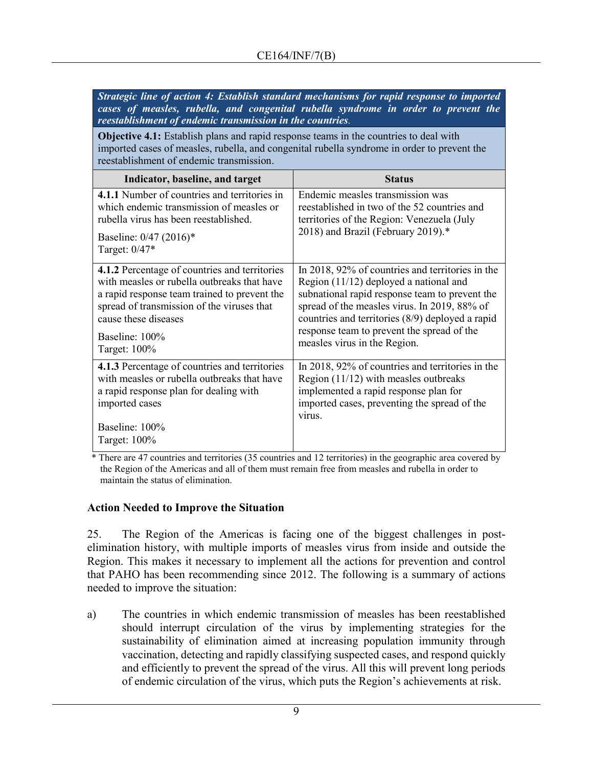| Strategic line of action 4: Establish standard mechanisms for rapid response to imported<br>cases of measles, rubella, and congenital rubella syndrome in order to prevent the<br>reestablishment of endemic transmission in the countries.          |                                                                                                                                                                                                                                                                                                                                |
|------------------------------------------------------------------------------------------------------------------------------------------------------------------------------------------------------------------------------------------------------|--------------------------------------------------------------------------------------------------------------------------------------------------------------------------------------------------------------------------------------------------------------------------------------------------------------------------------|
| <b>Objective 4.1:</b> Establish plans and rapid response teams in the countries to deal with<br>imported cases of measles, rubella, and congenital rubella syndrome in order to prevent the<br>reestablishment of endemic transmission.              |                                                                                                                                                                                                                                                                                                                                |
| Indicator, baseline, and target                                                                                                                                                                                                                      | <b>Status</b>                                                                                                                                                                                                                                                                                                                  |
| 4.1.1 Number of countries and territories in<br>which endemic transmission of measles or<br>rubella virus has been reestablished.<br>Baseline: 0/47 (2016)*<br>Target: 0/47*                                                                         | Endemic measles transmission was<br>reestablished in two of the 52 countries and<br>territories of the Region: Venezuela (July<br>2018) and Brazil (February 2019).*                                                                                                                                                           |
| 4.1.2 Percentage of countries and territories<br>with measles or rubella outbreaks that have<br>a rapid response team trained to prevent the<br>spread of transmission of the viruses that<br>cause these diseases<br>Baseline: 100%<br>Target: 100% | In 2018, 92% of countries and territories in the<br>Region (11/12) deployed a national and<br>subnational rapid response team to prevent the<br>spread of the measles virus. In 2019, 88% of<br>countries and territories (8/9) deployed a rapid<br>response team to prevent the spread of the<br>measles virus in the Region. |
| 4.1.3 Percentage of countries and territories<br>with measles or rubella outbreaks that have<br>a rapid response plan for dealing with<br>imported cases<br>Baseline: 100%<br>Target: 100%                                                           | In 2018, 92% of countries and territories in the<br>Region $(11/12)$ with measles outbreaks<br>implemented a rapid response plan for<br>imported cases, preventing the spread of the<br>virus.                                                                                                                                 |

\* There are 47 countries and territories (35 countries and 12 territories) in the geographic area covered by the Region of the Americas and all of them must remain free from measles and rubella in order to maintain the status of elimination.

#### **Action Needed to Improve the Situation**

25. The Region of the Americas is facing one of the biggest challenges in postelimination history, with multiple imports of measles virus from inside and outside the Region. This makes it necessary to implement all the actions for prevention and control that PAHO has been recommending since 2012. The following is a summary of actions needed to improve the situation:

a) The countries in which endemic transmission of measles has been reestablished should interrupt circulation of the virus by implementing strategies for the sustainability of elimination aimed at increasing population immunity through vaccination, detecting and rapidly classifying suspected cases, and respond quickly and efficiently to prevent the spread of the virus. All this will prevent long periods of endemic circulation of the virus, which puts the Region's achievements at risk.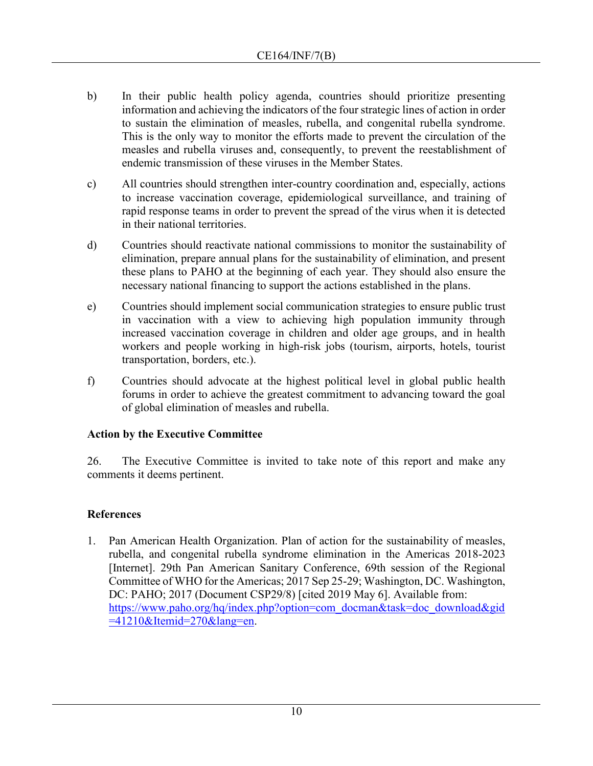- b) In their public health policy agenda, countries should prioritize presenting information and achieving the indicators of the four strategic lines of action in order to sustain the elimination of measles, rubella, and congenital rubella syndrome. This is the only way to monitor the efforts made to prevent the circulation of the measles and rubella viruses and, consequently, to prevent the reestablishment of endemic transmission of these viruses in the Member States.
- c) All countries should strengthen inter-country coordination and, especially, actions to increase vaccination coverage, epidemiological surveillance, and training of rapid response teams in order to prevent the spread of the virus when it is detected in their national territories.
- d) Countries should reactivate national commissions to monitor the sustainability of elimination, prepare annual plans for the sustainability of elimination, and present these plans to PAHO at the beginning of each year. They should also ensure the necessary national financing to support the actions established in the plans.
- e) Countries should implement social communication strategies to ensure public trust in vaccination with a view to achieving high population immunity through increased vaccination coverage in children and older age groups, and in health workers and people working in high-risk jobs (tourism, airports, hotels, tourist transportation, borders, etc.).
- f) Countries should advocate at the highest political level in global public health forums in order to achieve the greatest commitment to advancing toward the goal of global elimination of measles and rubella.

# **Action by the Executive Committee**

26. The Executive Committee is invited to take note of this report and make any comments it deems pertinent.

# **References**

1. Pan American Health Organization. Plan of action for the sustainability of measles, rubella, and congenital rubella syndrome elimination in the Americas 2018-2023 [Internet]. 29th Pan American Sanitary Conference, 69th session of the Regional Committee of WHO for the Americas; 2017 Sep 25-29; Washington, DC. Washington, DC: PAHO; 2017 (Document CSP29/8) [cited 2019 May 6]. Available from: [https://www.paho.org/hq/index.php?option=com\\_docman&task=doc\\_download&gid](https://www.paho.org/hq/index.php?option=com_docman&task=doc_download&gid=41210&Itemid=270&lang=en)  $=41210\&$ Itemid=270 $\&$ lang=en.